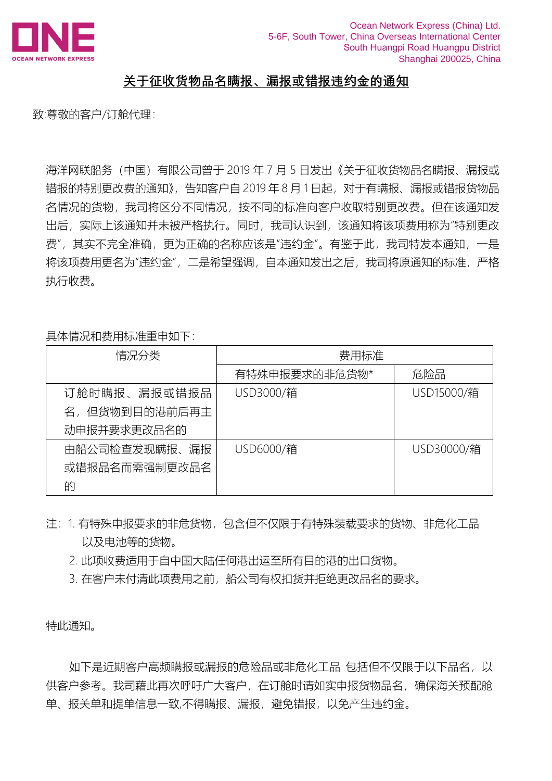

## **关于征收货物品名瞒报、漏报或错报违约金的通知**

致:尊敬的客户/订舱代理:

海洋网联船务(中国)有限公司曾于 2019 年 7 月 5 日发出《关于征收货物品名瞒报、漏报或 错报的特别更改费的通知》,告知客户自 2019 年 8 月 1 日起,对于有瞒报、漏报或错报货物品 名情况的货物,我司将区分不同情况,按不同的标准向客户收取特别更改费。但在该通知发 出后,实际上该通知并未被严格执行。同时,我司认识到,该通知将该项费用称为"特别更改 费",其实不完全准确,更为正确的名称应该是"违约金"。有鉴于此,我司特发本通知,一是 将该项费用更名为"违约金",二是希望强调,自本通知发出之后,我司将原通知的标准,严格 执行收费。

具体情况和费用标准重申如下:

| 情况分类          | 费用标准          |            |
|---------------|---------------|------------|
|               | 有特殊申报要求的非危货物* | 危险品        |
| 订舱时瞒报、漏报或错报品  | USD3000/箱     | USD15000/箱 |
| 名,但货物到目的港前后再主 |               |            |
| 动申报并要求更改品名的   |               |            |
| 由船公司检查发现瞒报、漏报 | USD6000/箱     | USD30000/箱 |
| 或错报品名而需强制更改品名 |               |            |
| 的             |               |            |

- 注: 1. 有特殊申报要求的非危货物, 包含但不仅限于有特殊装载要求的货物、非危化工品 以及电池等的货物。
	- 2. 此项收费适用于自中国大陆任何港出运至所有目的港的出口货物。
	- 3. 在客户未付清此项费用之前, 船公司有权扣货并拒绝更改品名的要求。

特此通知。

如下是近期客户高频瞒报或漏报的危险品或非危化工品 包括但不仅限于以下品名, 以 供客户参考。我司藉此再次呼吁广大客户,在订舱时请如实申报货物品名,确保海关预配舱 单、报关单和提单信息一致,不得瞒报、漏报,避免错报,以免产生违约金。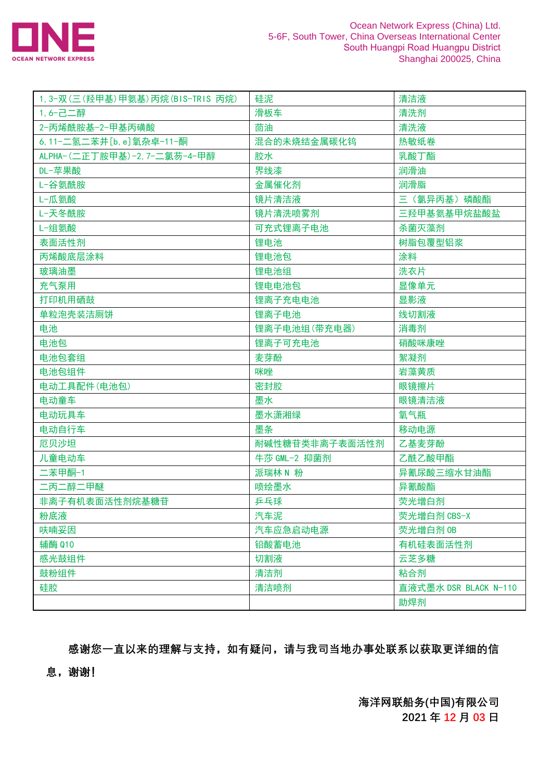

| 1, 3-双(三(羟甲基)甲氨基)丙烷(BIS-TRIS 丙烷) | 硅泥             | 清洁液                   |
|----------------------------------|----------------|-----------------------|
| 1,6-己二醇                          | 滑板车            | 清洗剂                   |
| 2-丙烯酰胺基-2-甲基丙磺酸                  | 茴油             | 清洗液                   |
| 6, 11-二氢二苯并 [b, e] 氧杂卓-11-酮      | 混合的未烧结金属碳化钨    | 热敏纸卷                  |
| ALPHA-(二正丁胺甲基)-2, 7-二氯芴-4-甲醇     | 胶水             | 乳酸丁酯                  |
| DL-苹果酸                           | 界线漆            | 润滑油                   |
| L-谷氨酰胺                           | 金属催化剂          | 润滑脂                   |
| L-瓜氨酸                            | 镜片清洁液          | 三 (氯异丙基) 磷酸酯          |
| L-天冬酰胺                           | 镜片清洗喷雾剂        | 三羟甲基氨基甲烷盐酸盐           |
| L-组氨酸                            | 可充式锂离子电池       | 杀菌灭藻剂                 |
| 表面活性剂                            | 锂电池            | 树脂包覆型铝浆               |
| 丙烯酸底层涂料                          | 锂电池包           | 涂料                    |
| 玻璃油墨                             | 锂电池组           | 洗衣片                   |
| 充气泵用                             | 锂电电池包          | 显像单元                  |
| 打印机用硒鼓                           | 锂离子充电电池        | 显影液                   |
| 单粒泡壳装洁厕饼                         | 锂离子电池          | 线切割液                  |
| 电池                               | 锂离子电池组(带充电器)   | 消毒剂                   |
| 电池包                              | 锂离子可充电池        | 硝酸咪康唑                 |
| 电池包套组                            | 麦芽酚            | 絮凝剂                   |
| 电池包组件                            | 咪唑             | 岩藻黄质                  |
| 电动工具配件(电池包)                      | 密封胶            | 眼镜擦片                  |
| 电动童车                             | 墨水             | 眼镜清洁液                 |
| 电动玩具车                            | 墨水潇湘绿          | 氧气瓶                   |
| 电动自行车                            | 墨条             | 移动电源                  |
| 厄贝沙坦                             | 耐碱性糖苷类非离子表面活性剂 | 乙基麦芽酚                 |
| 儿童电动车                            | 牛莎 GML-2 抑菌剂   | 乙酰乙酸甲酯                |
| 二苯甲酮-1                           | 派瑞林 N 粉        | 异氰尿酸三缩水甘油酯            |
| 二丙二醇二甲醚                          | 喷绘墨水           | 异氰酸酯                  |
| 非离子有机表面活性剂烷基糖苷                   | 乒乓球            | 荧光增白剂                 |
| 粉底液                              | 汽车泥            | 荧光增白剂 CBS-X           |
| 呋喃妥因                             | 汽车应急启动电源       | 荧光增白剂 OB              |
| 辅酶 Q10                           | 铅酸蓄电池          | 有机硅表面活性剂              |
| 感光鼓组件                            | 切割液            | 云芝多糖                  |
| 鼓粉组件                             | 清洁剂            | 粘合剂                   |
| 硅胶                               | 清洁喷剂           | 直液式墨水 DSR BLACK N-110 |
|                                  |                | 助焊剂                   |

**感谢您一直以来的理解与支持,如有疑问,请与我司当地办事处联系以获取更详细的信**

**息,谢谢!**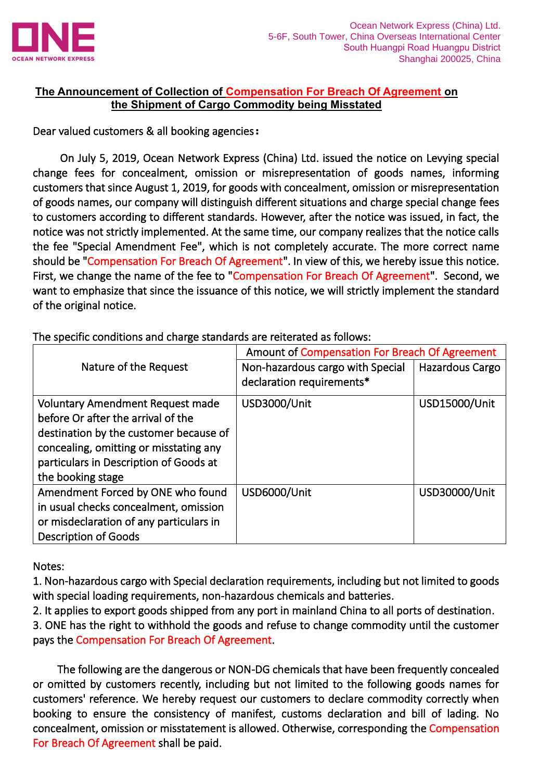

## **The Announcement of Collection of Compensation For Breach Of Agreement on the Shipment of Cargo Commodity being Misstated**

## Dear valued customers & all booking agencies**:**

 On July 5, 2019, Ocean Network Express (China) Ltd. issued the notice on Levying special change fees for concealment, omission or misrepresentation of goods names, informing customers that since August 1, 2019, for goods with concealment, omission or misrepresentation of goods names, our company will distinguish different situations and charge special change fees to customers according to different standards. However, after the notice was issued, in fact, the notice was not strictly implemented. At the same time, our company realizes that the notice calls the fee "Special Amendment Fee", which is not completely accurate. The more correct name should be "Compensation For Breach Of Agreement". In view of this, we hereby issue this notice. First, we change the name of the fee to "Compensation For Breach Of Agreement". Second, we want to emphasize that since the issuance of this notice, we will strictly implement the standard of the original notice.

|                                         | Amount of Compensation For Breach Of Agreement |                 |  |
|-----------------------------------------|------------------------------------------------|-----------------|--|
| Nature of the Request                   | Non-hazardous cargo with Special               | Hazardous Cargo |  |
|                                         | declaration requirements*                      |                 |  |
| <b>Voluntary Amendment Request made</b> | USD3000/Unit                                   | USD15000/Unit   |  |
| before Or after the arrival of the      |                                                |                 |  |
| destination by the customer because of  |                                                |                 |  |
| concealing, omitting or misstating any  |                                                |                 |  |
| particulars in Description of Goods at  |                                                |                 |  |
| the booking stage                       |                                                |                 |  |
| Amendment Forced by ONE who found       | USD6000/Unit                                   | USD30000/Unit   |  |
| in usual checks concealment, omission   |                                                |                 |  |
| or misdeclaration of any particulars in |                                                |                 |  |
| <b>Description of Goods</b>             |                                                |                 |  |

The specific conditions and charge standards are reiterated as follows:

Notes:

1. Non-hazardous cargo with Special declaration requirements, including but not limited to goods with special loading requirements, non-hazardous chemicals and batteries.

2. It applies to export goods shipped from any port in mainland China to all ports of destination.

3. ONE has the right to withhold the goods and refuse to change commodity until the customer pays the Compensation For Breach Of Agreement.

 The following are the dangerous or NON-DG chemicals that have been frequently concealed or omitted by customers recently, including but not limited to the following goods names for customers' reference. We hereby request our customers to declare commodity correctly when booking to ensure the consistency of manifest, customs declaration and bill of lading. No concealment, omission or misstatement is allowed. Otherwise, corresponding the Compensation For Breach Of Agreement shall be paid.